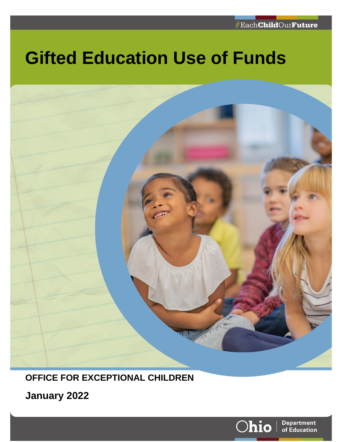# **Gifted Education Use of Funds**



# **OFFICE FOR EXCEPTIONAL CHILDREN**

**January 2022**

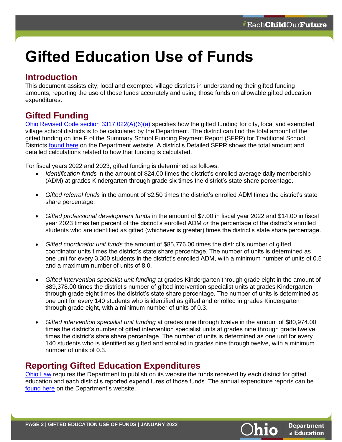# **Gifted Education Use of Funds**

## **Introduction**

This document assists city, local and exempted village districts in understanding their gifted funding amounts, reporting the use of those funds accurately and using those funds on allowable gifted education expenditures.

# **Gifted Funding**

[Ohio Revised Code section 3317.022\(A\)\(6\)\(a\)](https://codes.ohio.gov/ohio-revised-code/section-3317.022) specifies how the gifted funding for city, local and exempted village school districts is to be calculated by the Department. The district can find the total amount of the gifted funding on line F of the Summary School Funding Payment Report (SFPR) for Traditional School Districts [found here](https://education.ohio.gov/Topics/Finance-and-Funding/School-Payment-Reports) on the Department website. A district's Detailed SFPR shows the total amount and detailed calculations related to how that funding is calculated.

For fiscal years 2022 and 2023, gifted funding is determined as follows:

- *Identification funds* in the amount of \$24.00 times the district's enrolled average daily membership (ADM) at grades Kindergarten through grade six times the district's state share percentage.
- *Gifted referral funds* in the amount of \$2.50 times the district's enrolled ADM times the district's state share percentage.
- *Gifted professional development funds* in the amount of \$7.00 in fiscal year 2022 and \$14.00 in fiscal year 2023 times ten percent of the district's enrolled ADM *or* the percentage of the district's enrolled students who are identified as gifted (whichever is greater) times the district's state share percentage.
- *Gifted coordinator unit funds* the amount of \$85,776.00 times the district's number of gifted coordinator units times the district's state share percentage. The number of units is determined as one unit for every 3,300 students in the district's enrolled ADM, with a minimum number of units of 0.5 and a maximum number of units of 8.0.
- *Gifted intervention specialist unit funding* at grades Kindergarten through grade eight in the amount of \$89,378.00 times the district's number of gifted intervention specialist units at grades Kindergarten through grade eight times the district's state share percentage. The number of units is determined as one unit for every 140 students who is identified as gifted and enrolled in grades Kindergarten through grade eight, with a minimum number of units of 0.3.
- *Gifted intervention specialist unit funding* at grades nine through twelve in the amount of \$80,974.00 times the district's number of gifted intervention specialist units at grades nine through grade twelve times the district's state share percentage. The number of units is determined as one unit for every 140 students who is identified as gifted and enrolled in grades nine through twelve, with a minimum number of units of 0.3.

# **Reporting Gifted Education Expenditures**

[Ohio Law](https://codes.ohio.gov/ohio-revised-code/section-3324.09) requires the Department to publish on its website the funds received by each district for gifted education and each district's reported expenditures of those funds. The annual expenditure reports can be [found here](http://education.ohio.gov/Topics/Special-Education/Special-Education-Data-and-Funding/Gifted-Education-Expenditures) on the Department's website.

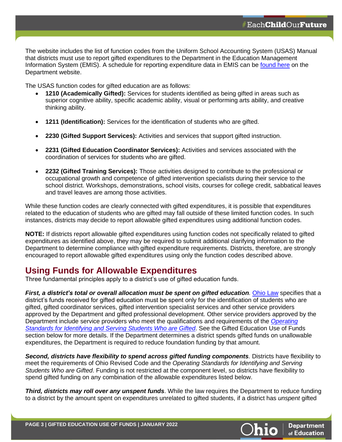The website includes the list of function codes from the Uniform School Accounting System (USAS) Manual that districts must use to report gifted expenditures to the Department in the Education Management Information System (EMIS). A schedule for reporting expenditure data in EMIS can be [found here](http://education.ohio.gov/Topics/Data/EMIS/Reporting-Responsibilities/EMIS-Data-Collection-Calendars) on the Department website.

The USAS function codes for gifted education are as follows:

- **1210 (Academically Gifted):** Services for students identified as being gifted in areas such as superior cognitive ability, specific academic ability, visual or performing arts ability, and creative thinking ability.
- **1211 (Identification):** Services for the identification of students who are gifted.
- **2230 (Gifted Support Services):** Activities and services that support gifted instruction.
- **2231 (Gifted Education Coordinator Services):** Activities and services associated with the coordination of services for students who are gifted.
- **2232 (Gifted Training Services):** Those activities designed to contribute to the professional or occupational growth and competence of gifted intervention specialists during their service to the school district. Workshops, demonstrations, school visits, courses for college credit, sabbatical leaves and travel leaves are among those activities.

While these function codes are clearly connected with gifted expenditures, it is possible that expenditures related to the education of students who are gifted may fall outside of these limited function codes. In such instances, districts may decide to report allowable gifted expenditures using additional function codes.

**NOTE:** If districts report allowable gifted expenditures using function codes not specifically related to gifted expenditures as identified above, they may be required to submit additional clarifying information to the Department to determine compliance with gifted expenditure requirements. Districts, therefore, are strongly encouraged to report allowable gifted expenditures using only the function codes described above.

# **Using Funds for Allowable Expenditures**

Three fundamental principles apply to a district's use of gifted education funds.

*First, a district's total or overall allocation must be spent on gifted education.* [Ohio Law](https://codes.ohio.gov/ohio-revised-code/section-3317.022) specifies that a district's funds received for gifted education must be spent only for the identification of students who are gifted, gifted coordinator services, gifted intervention specialist services and other service providers approved by the Department and gifted professional development. Other service providers approved by the Department include service providers who meet the qualifications and requirements of the *[Operating](https://codes.ohio.gov/ohio-administrative-code/rule-3301-51-15)  Standards [for Identifying and Serving Students Who are Gifted](https://codes.ohio.gov/ohio-administrative-code/rule-3301-51-15)*. See the Gifted Education Use of Funds section below for more details. If the Department determines a district spends gifted funds on unallowable expenditures, the Department is required to reduce foundation funding by that amount.

*Second, districts have flexibility to spend across gifted funding components.* Districts have flexibility to meet the requirements of Ohio Revised Code and the *Operating Standards for Identifying and Serving Students Who are Gifted*. Funding is not restricted at the component level, so districts have flexibility to spend gifted funding on any combination of the allowable expenditures listed below.

*Third, districts may roll over any unspent funds*. While the law requires the Department to reduce funding to a district by the amount spent on expenditures unrelated to gifted students, if a district has *unspent* gifted

**Department** of Education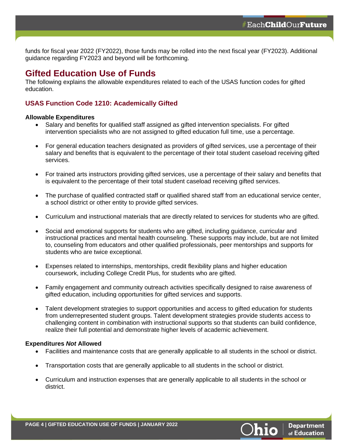funds for fiscal year 2022 (FY2022), those funds may be rolled into the next fiscal year (FY2023). Additional guidance regarding FY2023 and beyond will be forthcoming.

## **Gifted Education Use of Funds**

The following explains the allowable expenditures related to each of the USAS function codes for gifted education.

## **USAS Function Code 1210: Academically Gifted**

#### **Allowable Expenditures**

- Salary and benefits for qualified staff assigned as gifted intervention specialists. For gifted intervention specialists who are not assigned to gifted education full time, use a percentage.
- For general education teachers designated as providers of gifted services, use a percentage of their salary and benefits that is equivalent to the percentage of their total student caseload receiving gifted services.
- For trained arts instructors providing gifted services, use a percentage of their salary and benefits that is equivalent to the percentage of their total student caseload receiving gifted services.
- The purchase of qualified contracted staff or qualified shared staff from an educational service center, a school district or other entity to provide gifted services.
- Curriculum and instructional materials that are directly related to services for students who are gifted.
- Social and emotional supports for students who are gifted, including guidance, curricular and instructional practices and mental health counseling. These supports may include, but are not limited to, counseling from educators and other qualified professionals, peer mentorships and supports for students who are twice exceptional.
- Expenses related to internships, mentorships, credit flexibility plans and higher education coursework, including College Credit Plus, for students who are gifted.
- Family engagement and community outreach activities specifically designed to raise awareness of gifted education, including opportunities for gifted services and supports.
- Talent development strategies to support opportunities and access to gifted education for students from underrepresented student groups. Talent development strategies provide students access to challenging content in combination with instructional supports so that students can build confidence, realize their full potential and demonstrate higher levels of academic achievement.

#### **Expenditures** *Not* **Allowed**

- Facilities and maintenance costs that are generally applicable to all students in the school or district.
- Transportation costs that are generally applicable to all students in the school or district.
- Curriculum and instruction expenses that are generally applicable to all students in the school or district.

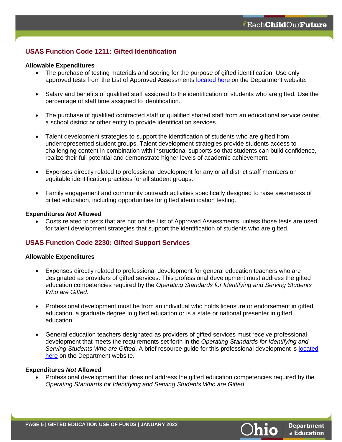## **USAS Function Code 1211: Gifted Identification**

#### **Allowable Expenditures**

- The purchase of testing materials and scoring for the purpose of gifted identification. Use only approved tests from the List of Approved Assessments [located here](https://education.ohio.gov/Topics/Other-Resources/Gifted-Education/Gifted-Screening-and-Identification/Chart-of-Approved-Assessment-and-Gifted-Education) on the Department website.
- Salary and benefits of qualified staff assigned to the identification of students who are gifted. Use the percentage of staff time assigned to identification.
- The purchase of qualified contracted staff or qualified shared staff from an educational service center, a school district or other entity to provide identification services.
- Talent development strategies to support the identification of students who are gifted from underrepresented student groups. Talent development strategies provide students access to challenging content in combination with instructional supports so that students can build confidence, realize their full potential and demonstrate higher levels of academic achievement.
- Expenses directly related to professional development for any or all district staff members on equitable identification practices for all student groups.
- Family engagement and community outreach activities specifically designed to raise awareness of gifted education, including opportunities for gifted identification testing.

#### **Expenditures** *Not* **Allowed**

• Costs related to tests that are not on the List of Approved Assessments, unless those tests are used for talent development strategies that support the identification of students who are gifted.

### **USAS Function Code 2230: Gifted Support Services**

#### **Allowable Expenditures**

- Expenses directly related to professional development for general education teachers who are designated as providers of gifted services. This professional development must address the gifted education competencies required by the *Operating Standards for Identifying and Serving Students Who are Gifted*.
- Professional development must be from an individual who holds licensure or endorsement in gifted education, a graduate degree in gifted education or is a state or national presenter in gifted education.
- General education teachers designated as providers of gifted services must receive professional development that meets the requirements set forth in the *Operating Standards for Identifying and Serving Students Who are Gifted*. A brief resource guide for this professional development is [located](https://education.ohio.gov/Topics/Other-Resources/Gifted-Education/Teaching-Gifted-Students-in-Ohio/High-Quality-Professional-Development-HQPD-in-Gi)  [here](https://education.ohio.gov/Topics/Other-Resources/Gifted-Education/Teaching-Gifted-Students-in-Ohio/High-Quality-Professional-Development-HQPD-in-Gi) on the Department website.

#### **Expenditures** *Not* **Allowed**

• Professional development that does not address the gifted education competencies required by the *Operating Standards for Identifying and Serving Students Who are Gifted*.